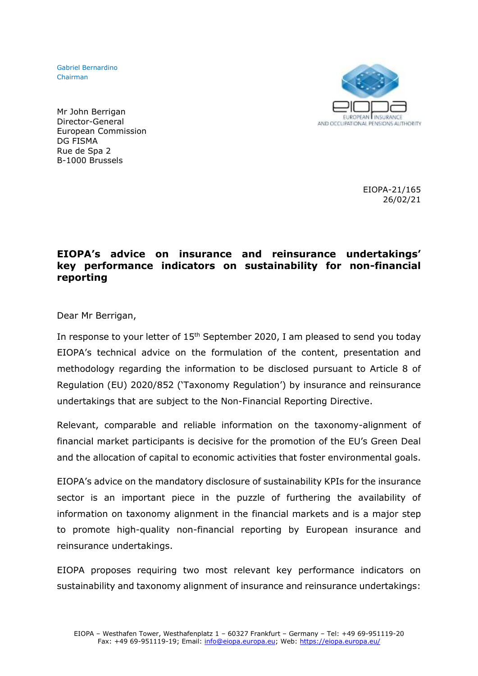Gabriel Bernardino Chairman



Mr John Berrigan Director-General European Commission DG FISMA Rue de Spa 2 B-1000 Brussels

> EIOPA-21/165 26/02/21

## **EIOPA's advice on insurance and reinsurance undertakings' key performance indicators on sustainability for non-financial reporting**

Dear Mr Berrigan,

In response to your letter of 15<sup>th</sup> September 2020, I am pleased to send you today EIOPA's technical advice on the formulation of the content, presentation and methodology regarding the information to be disclosed pursuant to Article 8 of Regulation (EU) 2020/852 ('Taxonomy Regulation') by insurance and reinsurance undertakings that are subject to the Non-Financial Reporting Directive.

Relevant, comparable and reliable information on the taxonomy-alignment of financial market participants is decisive for the promotion of the EU's Green Deal and the allocation of capital to economic activities that foster environmental goals.

EIOPA's advice on the mandatory disclosure of sustainability KPIs for the insurance sector is an important piece in the puzzle of furthering the availability of information on taxonomy alignment in the financial markets and is a major step to promote high-quality non-financial reporting by European insurance and reinsurance undertakings.

EIOPA proposes requiring two most relevant key performance indicators on sustainability and taxonomy alignment of insurance and reinsurance undertakings: